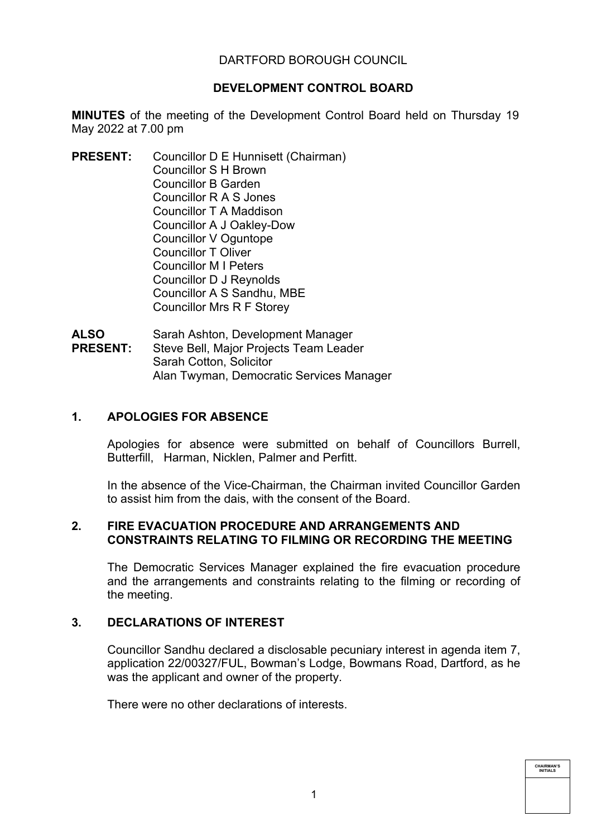# DARTFORD BOROUGH COUNCIL

# **DEVELOPMENT CONTROL BOARD**

**MINUTES** of the meeting of the Development Control Board held on Thursday 19 May 2022 at 7.00 pm

**PRESENT:** Councillor D E Hunnisett (Chairman) Councillor S H Brown Councillor B Garden Councillor R A S Jones Councillor T A Maddison Councillor A J Oakley-Dow Councillor V Oguntope Councillor T Oliver Councillor M I Peters Councillor D J Reynolds Councillor A S Sandhu, MBE Councillor Mrs R F Storey

**ALSO PRESENT:** Sarah Ashton, Development Manager Steve Bell, Major Projects Team Leader Sarah Cotton, Solicitor Alan Twyman, Democratic Services Manager

# **1. APOLOGIES FOR ABSENCE**

Apologies for absence were submitted on behalf of Councillors Burrell, Butterfill, Harman, Nicklen, Palmer and Perfitt.

In the absence of the Vice-Chairman, the Chairman invited Councillor Garden to assist him from the dais, with the consent of the Board.

## **2. FIRE EVACUATION PROCEDURE AND ARRANGEMENTS AND CONSTRAINTS RELATING TO FILMING OR RECORDING THE MEETING**

The Democratic Services Manager explained the fire evacuation procedure and the arrangements and constraints relating to the filming or recording of the meeting.

# **3. DECLARATIONS OF INTEREST**

Councillor Sandhu declared a disclosable pecuniary interest in agenda item 7, application 22/00327/FUL, Bowman's Lodge, Bowmans Road, Dartford, as he was the applicant and owner of the property.

There were no other declarations of interests.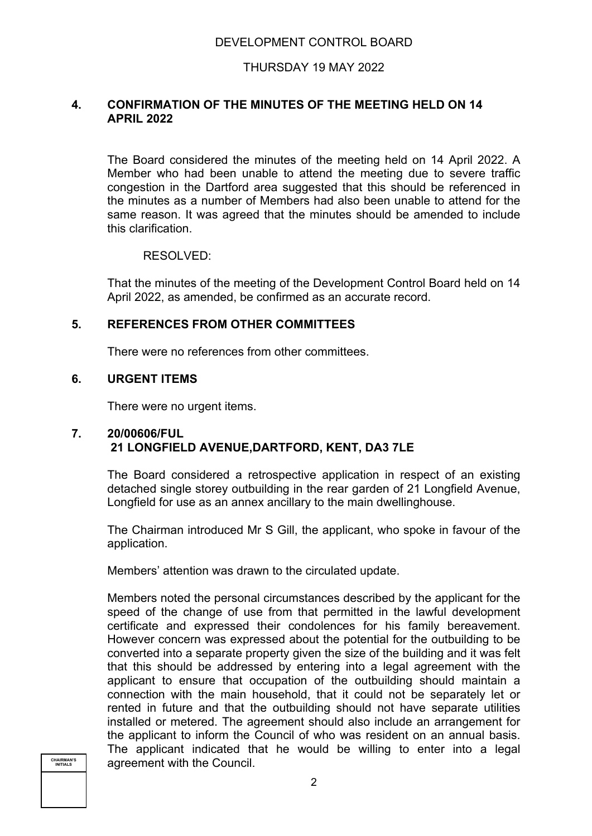# THURSDAY 19 MAY 2022

## **4. CONFIRMATION OF THE MINUTES OF THE MEETING HELD ON 14 APRIL 2022**

The Board considered the minutes of the meeting held on 14 April 2022. A Member who had been unable to attend the meeting due to severe traffic congestion in the Dartford area suggested that this should be referenced in the minutes as a number of Members had also been unable to attend for the same reason. It was agreed that the minutes should be amended to include this clarification.

## RESOLVED:

That the minutes of the meeting of the Development Control Board held on 14 April 2022, as amended, be confirmed as an accurate record.

# **5. REFERENCES FROM OTHER COMMITTEES**

There were no references from other committees.

## **6. URGENT ITEMS**

There were no urgent items.

## **7. 20/00606/FUL 21 LONGFIELD AVENUE,DARTFORD, KENT, DA3 7LE**

The Board considered a retrospective application in respect of an existing detached single storey outbuilding in the rear garden of 21 Longfield Avenue, Longfield for use as an annex ancillary to the main dwellinghouse.

The Chairman introduced Mr S Gill, the applicant, who spoke in favour of the application.

Members' attention was drawn to the circulated update.

Members noted the personal circumstances described by the applicant for the speed of the change of use from that permitted in the lawful development certificate and expressed their condolences for his family bereavement. However concern was expressed about the potential for the outbuilding to be converted into a separate property given the size of the building and it was felt that this should be addressed by entering into a legal agreement with the applicant to ensure that occupation of the outbuilding should maintain a connection with the main household, that it could not be separately let or rented in future and that the outbuilding should not have separate utilities installed or metered. The agreement should also include an arrangement for the applicant to inform the Council of who was resident on an annual basis. The applicant indicated that he would be willing to enter into a legal agreement with the Council.

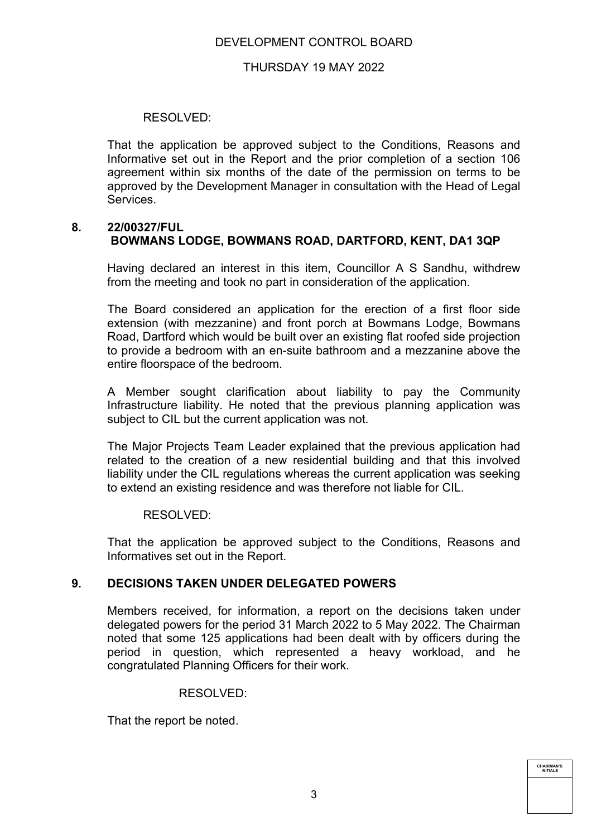# DEVELOPMENT CONTROL BOARD

## THURSDAY 19 MAY 2022

## RESOLVED:

That the application be approved subject to the Conditions, Reasons and Informative set out in the Report and the prior completion of a section 106 agreement within six months of the date of the permission on terms to be approved by the Development Manager in consultation with the Head of Legal Services.

#### **8. 22/00327/FUL BOWMANS LODGE, BOWMANS ROAD, DARTFORD, KENT, DA1 3QP**

Having declared an interest in this item, Councillor A S Sandhu, withdrew from the meeting and took no part in consideration of the application.

The Board considered an application for the erection of a first floor side extension (with mezzanine) and front porch at Bowmans Lodge, Bowmans Road, Dartford which would be built over an existing flat roofed side projection to provide a bedroom with an en-suite bathroom and a mezzanine above the entire floorspace of the bedroom.

A Member sought clarification about liability to pay the Community Infrastructure liability. He noted that the previous planning application was subject to CIL but the current application was not.

The Major Projects Team Leader explained that the previous application had related to the creation of a new residential building and that this involved liability under the CIL regulations whereas the current application was seeking to extend an existing residence and was therefore not liable for CIL.

#### RESOLVED:

That the application be approved subject to the Conditions, Reasons and Informatives set out in the Report.

# **9. DECISIONS TAKEN UNDER DELEGATED POWERS**

Members received, for information, a report on the decisions taken under delegated powers for the period 31 March 2022 to 5 May 2022. The Chairman noted that some 125 applications had been dealt with by officers during the period in question, which represented a heavy workload, and he congratulated Planning Officers for their work.

#### RESOLVED:

That the report be noted.